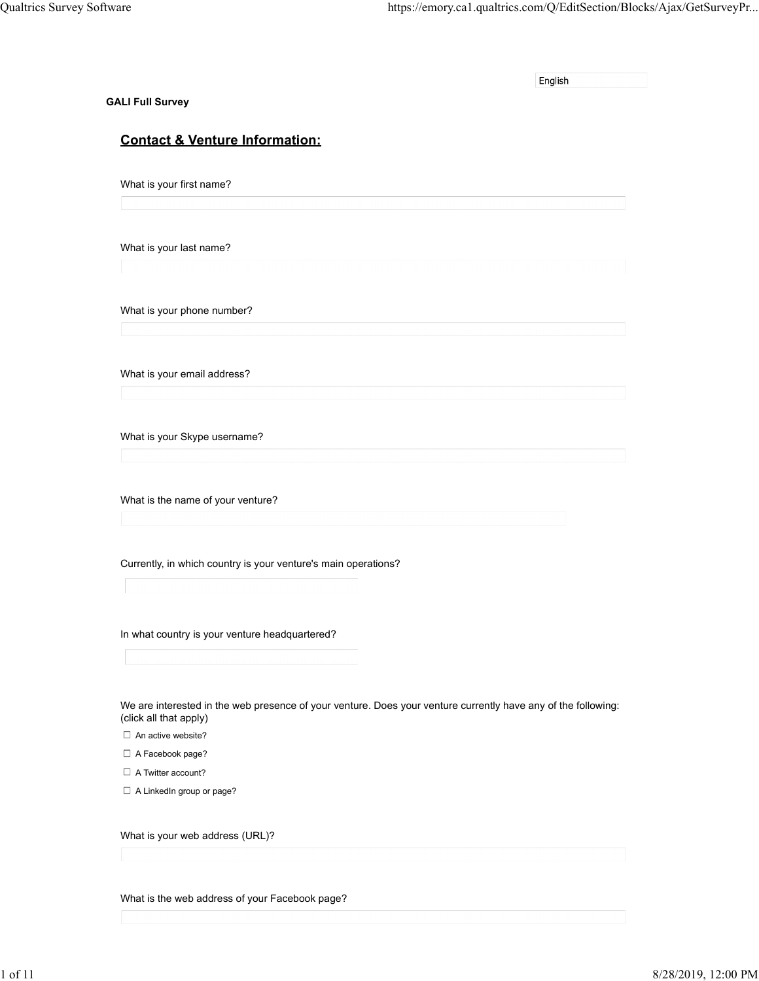|                                                                                                                                                                      | https://emory.ca1.qualtrics.com/Q/EditSection/Blocks/Ajax/GetSurveyPr             |
|----------------------------------------------------------------------------------------------------------------------------------------------------------------------|-----------------------------------------------------------------------------------|
|                                                                                                                                                                      | English                                                                           |
| <b>Contact &amp; Venture Information:</b>                                                                                                                            |                                                                                   |
| What is your first name?                                                                                                                                             |                                                                                   |
| What is your last name?                                                                                                                                              |                                                                                   |
| What is your phone number?                                                                                                                                           |                                                                                   |
| What is your email address?                                                                                                                                          |                                                                                   |
| What is your Skype username?                                                                                                                                         |                                                                                   |
| What is the name of your venture?                                                                                                                                    |                                                                                   |
| Currently, in which country is your venture's main operations?                                                                                                       |                                                                                   |
| In what country is your venture headquartered?                                                                                                                       |                                                                                   |
| We are interested in the web presence of your venture. Does your venture currently have any of the following:<br>(click all that apply)<br>$\Box$ An active website? |                                                                                   |
| $\Box$ A Facebook page?                                                                                                                                              |                                                                                   |
| $\Box$ A LinkedIn group or page?                                                                                                                                     |                                                                                   |
| What is your web address (URL)?                                                                                                                                      |                                                                                   |
|                                                                                                                                                                      | Qualtrics Survey Software<br><b>GALI Full Survey</b><br>$\Box$ A Twitter account? |

What is the web address of your Facebook page?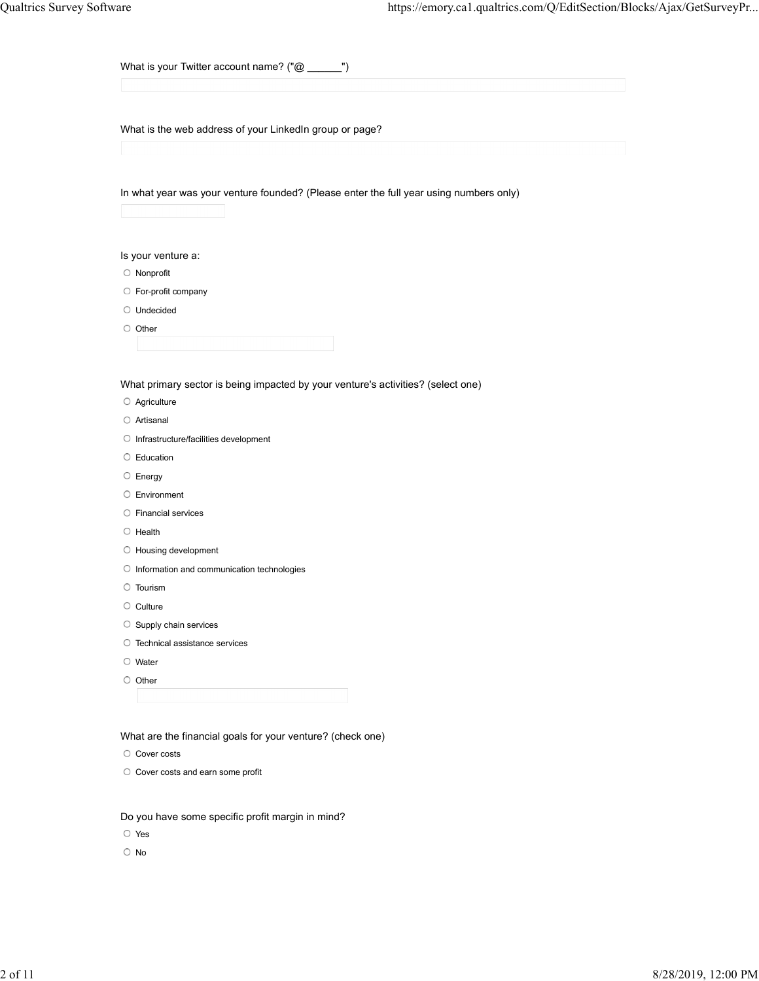What is your Twitter account name? ("@ \_\_\_\_\_\_")

What is the web address of your LinkedIn group or page?

In what year was your venture founded? (Please enter the full year using numbers only)

Is your venture a:

- Nonprofit
- For-profit company
- Undecided
- $\circ$  Other

What primary sector is being impacted by your venture's activities? (select one)

- Agriculture
- Artisanal
- O Infrastructure/facilities development
- Education
- $\circ$  Energy
- Environment
- Financial services
- $\circ$  Health
- O Housing development
- $\circ$  Information and communication technologies
- Tourism
- $\circ$  Culture
- $\circ$  Supply chain services
- O Technical assistance services
- Water
- O Other

What are the financial goals for your venture? (check one)

- O Cover costs
- O Cover costs and earn some profit

Do you have some specific profit margin in mind?

Yes

No and the state of the state of the state of the state of the state of the state of the state of the state of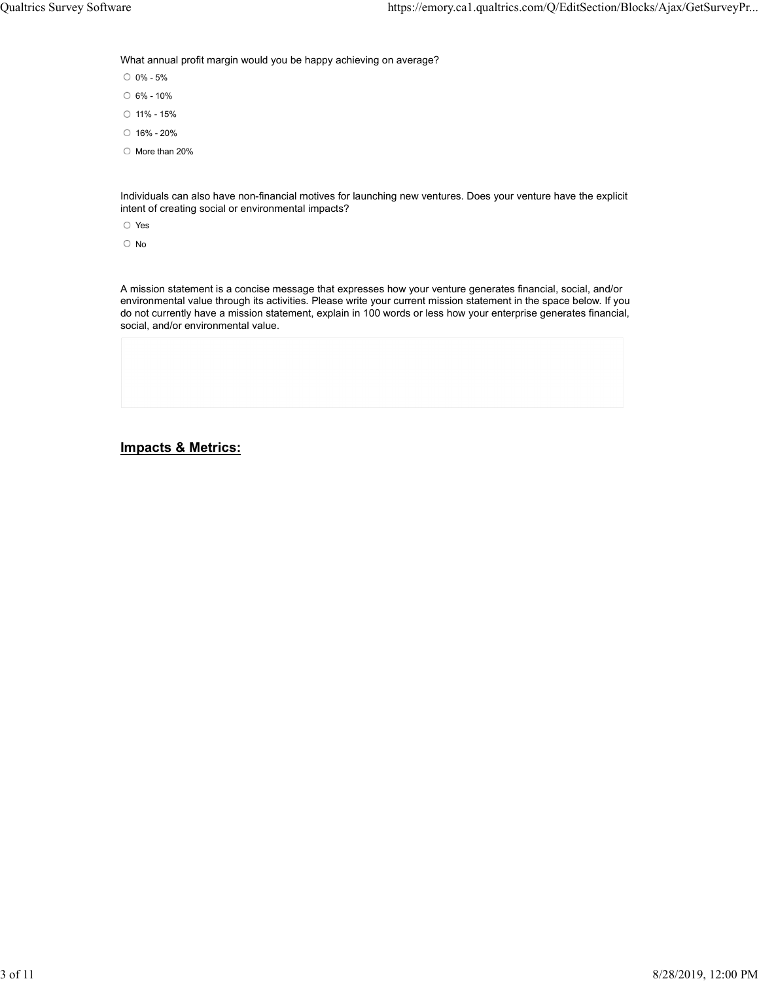What annual profit margin would you be happy achieving on average?

0% - 5%

- 6% 10%
- $0$  11% 15%
- $0.16\% 20\%$
- O More than 20%

Individuals can also have non-financial motives for launching new ventures. Does your venture have the explicit intent of creating social or environmental impacts?

Yes

No and the state of the state of the state of the state of the state of the state of the state of the state of

A mission statement is a concise message that expresses how your venture generates financial, social, and/or environmental value through its activities. Please write your current mission statement in the space below. If you do not currently have a mission statement, explain in 100 words or less how your enterprise generates financial, social, and/or environmental value.

## Impacts & Metrics: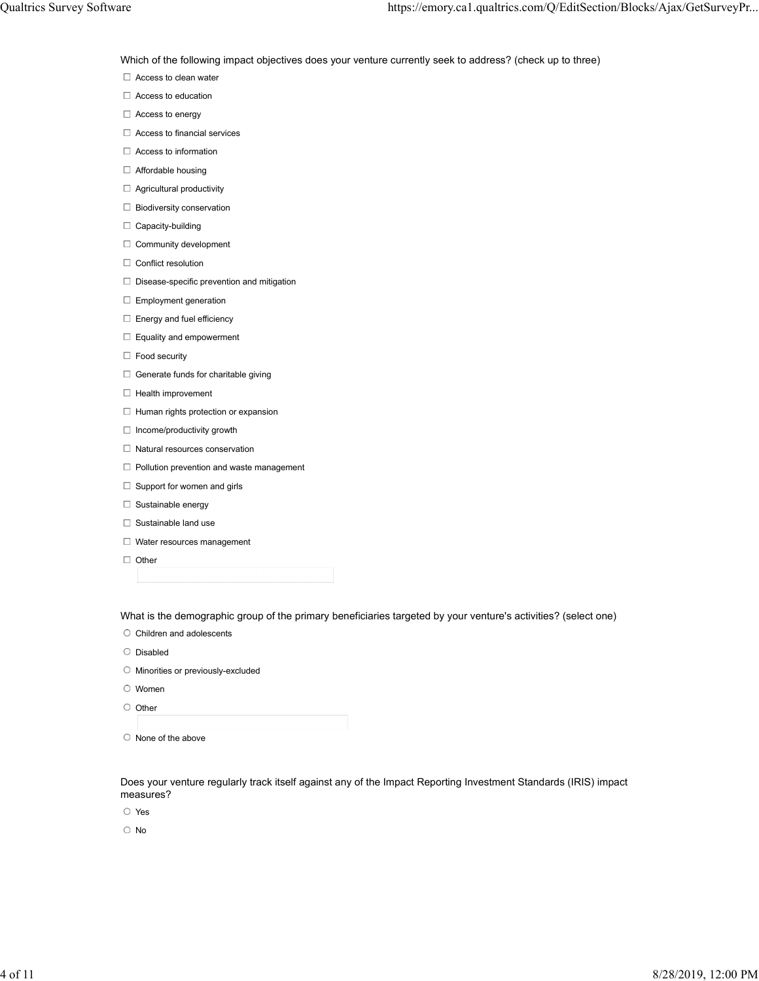Which of the following impact objectives does your venture currently seek to address? (check up to three) Mustrics Survey Software https://emory.ca1.qualtrics.com/Q/EditSection/Blocks/Ajax/GetSurveyPr...<br>Which of the following impact objectives does your venture currently seek to address? (check up to three)<br>□ Access to clean

- □ Access to clean water
- □ Access to education
- □ Access to energy
- $\Box$  Access to financial services
- □ Access to information
- □ Affordable housing
- $\Box$  Agricultural productivity
- □ Biodiversity conservation
- $\Box$  Capacity-building
- $\Box$  Community development
- $\Box$  Conflict resolution
- $\Box$  Disease-specific prevention and mitigation
- $\Box$  Employment generation
- $\Box$  Energy and fuel efficiency
- $\Box$  Equality and empowerment
- $\Box$  Food security
- $\Box$  Generate funds for charitable giving
- $\Box$  Health improvement
- $\Box$  Human rights protection or expansion
- $\Box$  Income/productivity growth
- $\Box$  Natural resources conservation
- $\Box$  Pollution prevention and waste management
- $\Box$  Support for women and girls
- $\Box$  Sustainable energy
- $\Box$  Sustainable land use
- Water resources management
- □ Other

What is the demographic group of the primary beneficiaries targeted by your venture's activities? (select one)

- $\circ$  Children and adolescents
- $O$  Disabled
- Minorities or previously-excluded
- Women
- $\circ$  Other
- $\circ$  None of the above

Does your venture regularly track itself against any of the Impact Reporting Investment Standards (IRIS) impact measures?

- Yes
- No and the state of the state of the state of the state of the state of the state of the state of the state of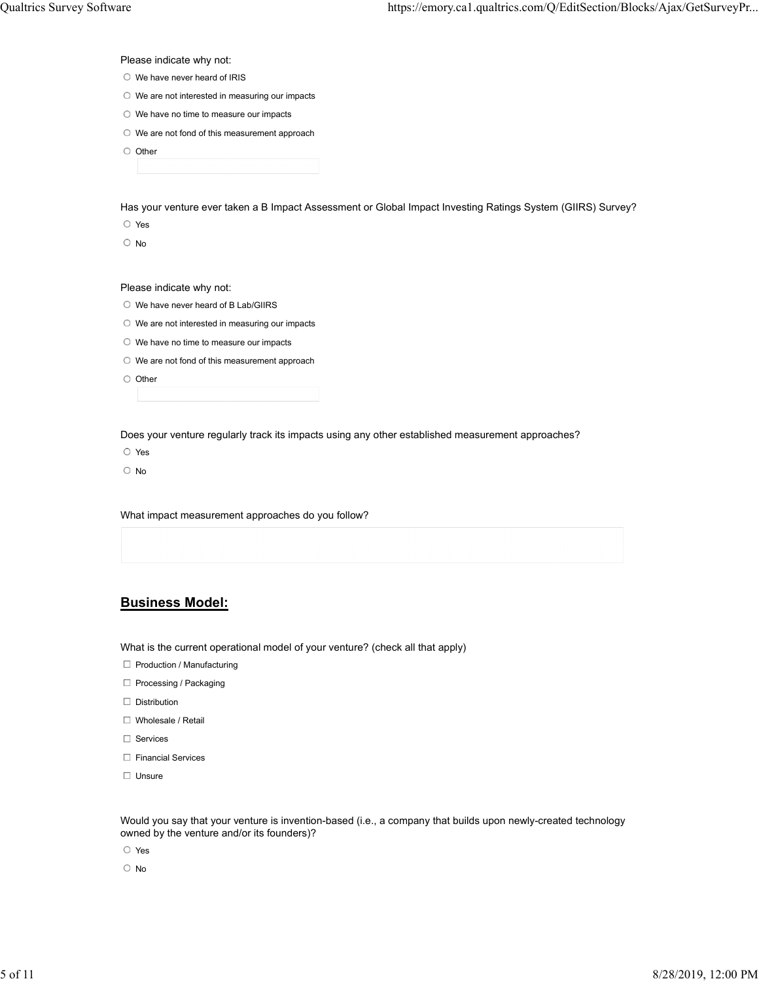Please indicate why not:

- O We have never heard of IRIS
- O We are not interested in measuring our impacts
- O We have no time to measure our impacts
- O We are not fond of this measurement approach
- O Other

Has your venture ever taken a B Impact Assessment or Global Impact Investing Ratings System (GIIRS) Survey?

Yes

No and the state of the state of the state of the state of the state of the state of the state of the state of

Please indicate why not:

- We have never heard of B Lab/GIIRS
- We are not interested in measuring our impacts
- O We have no time to measure our impacts
- O We are not fond of this measurement approach

O Other

Does your venture regularly track its impacts using any other established measurement approaches?

Yes

No and the state of the state of the state of the state of the state of the state of the state of the state of

What impact measurement approaches do you follow?

### Business Model:

What is the current operational model of your venture? (check all that apply)

- $\Box$  Production / Manufacturing
- $\Box$  Processing / Packaging
- $\Box$  Distribution
- □ Wholesale / Retail
- □ Services
- □ Financial Services
- Unsure **Unsure** and the contract of the contract of the contract of the contract of the contract of the contract of the contract of the contract of the contract of the contract of the contract of the contract of the contra

Would you say that your venture is invention-based (i.e., a company that builds upon newly-created technology owned by the venture and/or its founders)?

Yes

No and the state of the state of the state of the state of the state of the state of the state of the state of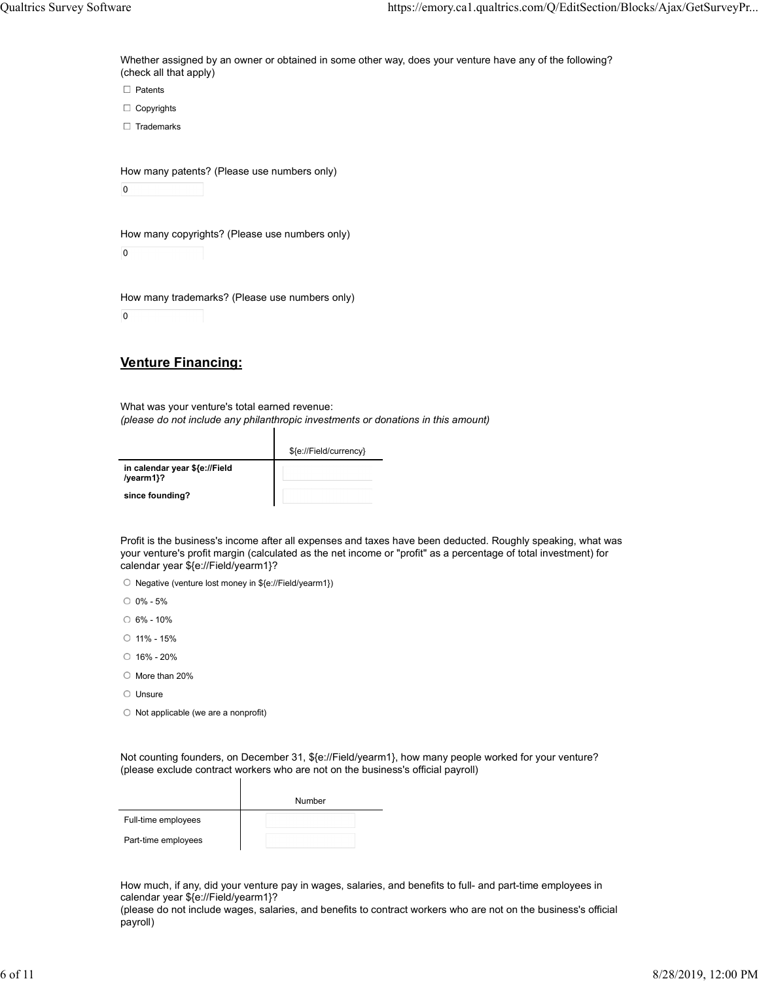$\Box$  Patents  $\Box$  Copyrights  $\Box$  Trademarks Whether assigned by an owner or obtained in some other way, does your venture have any of the following? (check all that apply) Qualtrics Survey Software https://emory.ca1.qualtrics.com/Q/EditSection/Blocks/Ajax/GetSurveyPr...<br>Whether assigned by an owner or obtained in some other way, does your venture have any of the following?<br>Check all that app

How many patents? (Please use numbers only)

 $\overline{0}$ 

How many copyrights? (Please use numbers only)

 $\mathbf 0$ 

How many trademarks? (Please use numbers only)

 $\overline{0}$ 

# Venture Financing:

What was your venture's total earned revenue: (please do not include any philanthropic investments or donations in this amount)

|                                            | \${e://Field/currency} |
|--------------------------------------------|------------------------|
| in calendar year \${e://Field<br>/yearm1}? |                        |
| since founding?                            |                        |

ı

Profit is the business's income after all expenses and taxes have been deducted. Roughly speaking, what was your venture's profit margin (calculated as the net income or "profit" as a percentage of total investment) for calendar year \${e://Field/yearm1}?

O Negative (venture lost money in \${e://Field/yearm1})

0% - 5%

6% - 10%

- 11% 15%
- 16% 20%
- $\circ$  More than 20%
- Unsure **Unsure** and the contract of the contract of the contract of the contract of the contract of the contract of the contract of the contract of the contract of the contract of the contract of the contract of the contra
- $\circ$  Not applicable (we are a nonprofit)

Not counting founders, on December 31, \${e://Field/yearm1}, how many people worked for your venture? (please exclude contract workers who are not on the business's official payroll)

|                     | Number |
|---------------------|--------|
| Full-time employees |        |
| Part-time employees |        |

 $\mathbf l$ 

How much, if any, did your venture pay in wages, salaries, and benefits to full- and part-time employees in calendar year \${e://Field/yearm1}?

(please do not include wages, salaries, and benefits to contract workers who are not on the business's official payroll)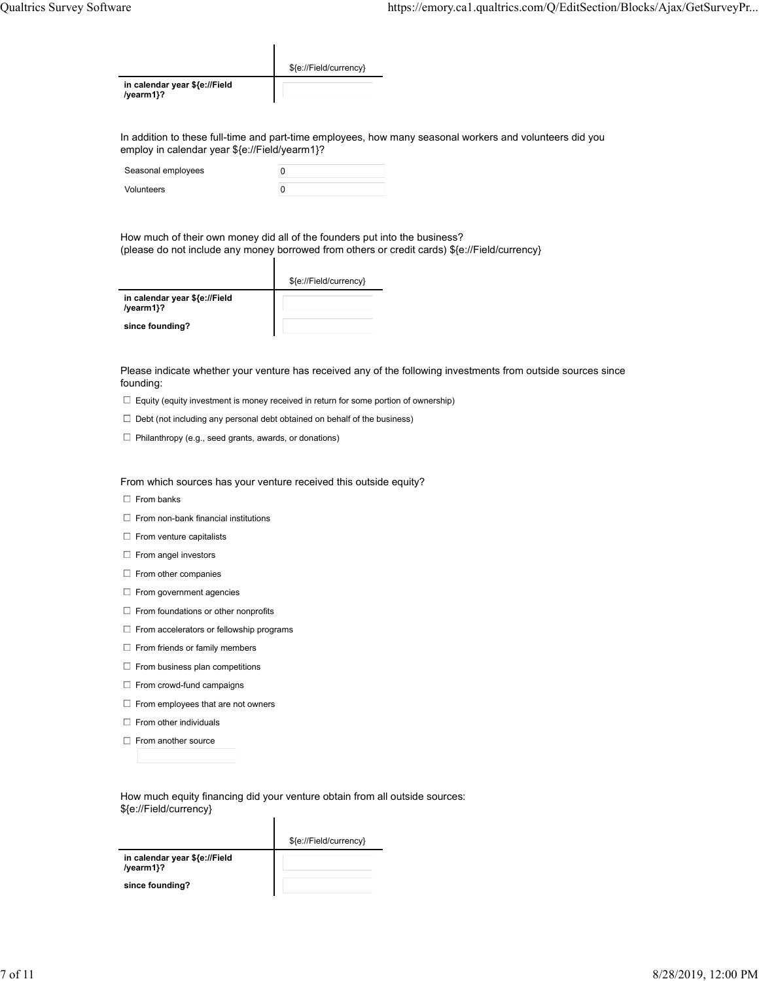| Qualtrics Survey Software |                                            |                        | https://emory.ca1.qualtrics.com/Q/EditSection/Blocks/Ajax/GetSurveyPr |
|---------------------------|--------------------------------------------|------------------------|-----------------------------------------------------------------------|
|                           |                                            |                        |                                                                       |
|                           |                                            |                        |                                                                       |
|                           |                                            | \${e://Field/currency} |                                                                       |
|                           | in calendar year \${e://Field<br>/yearm1}? |                        |                                                                       |

In addition to these full-time and part-time employees, how many seasonal workers and volunteers did you employ in calendar year \${e://Field/yearm1}?

| Seasonal employees |  |
|--------------------|--|
| Volunteers         |  |

How much of their own money did all of the founders put into the business? (please do not include any money borrowed from others or credit cards) \${e://Field/currency}

|                                            | \${e://Field/currency} |
|--------------------------------------------|------------------------|
| in calendar year \${e://Field<br>/yearm1}? |                        |
| since founding?                            |                        |

Please indicate whether your venture has received any of the following investments from outside sources since founding:

- $\Box$  Equity (equity investment is money received in return for some portion of ownership)
- $\Box$  Debt (not including any personal debt obtained on behalf of the business)
- $\Box$  Philanthropy (e.g., seed grants, awards, or donations)

#### From which sources has your venture received this outside equity?

- $\Box$  From banks
- $\Box$  From non-bank financial institutions
- $\Box$  From venture capitalists
- $\Box$  From angel investors
- $\Box$  From other companies
- $\Box$  From government agencies
- $\Box$  From foundations or other nonprofits
- $\Box$  From accelerators or fellowship programs
- $\Box$  From friends or family members
- $\Box$  From business plan competitions
- $\Box$  From crowd-fund campaigns
- $\Box$  From employees that are not owners
- $\Box$  From other individuals
- $\Box$  From another source

How much equity financing did your venture obtain from all outside sources: \${e://Field/currency}

|                                            | \${e://Field/currency} |
|--------------------------------------------|------------------------|
| in calendar year \${e://Field<br>/yearm1}? |                        |
| since founding?                            |                        |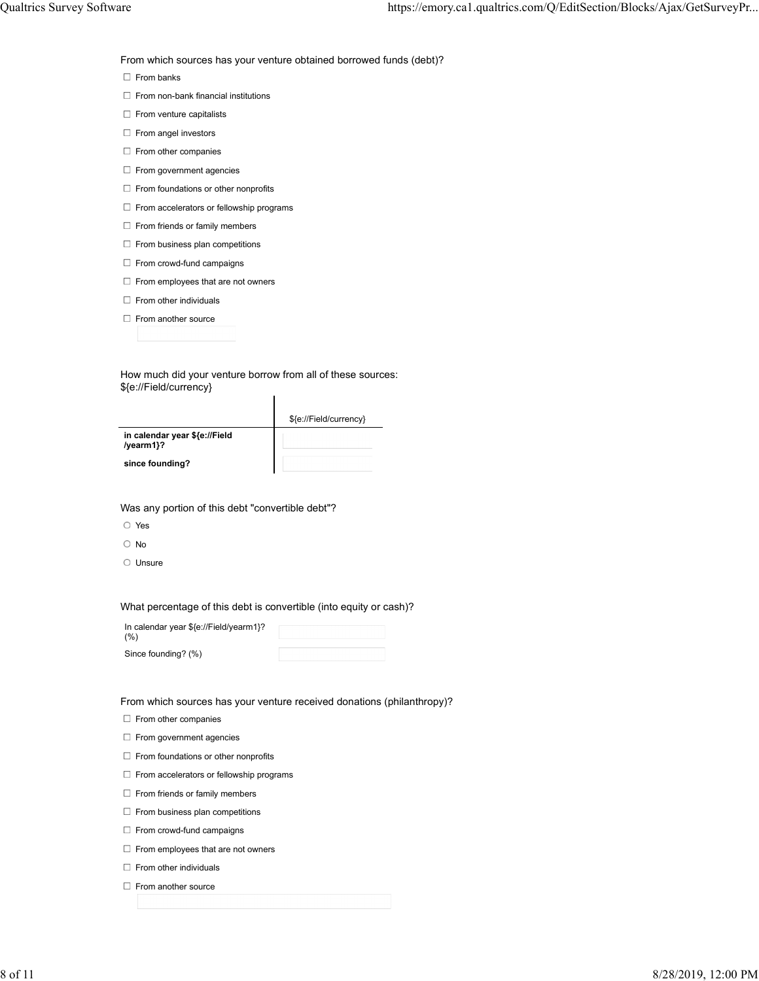From which sources has your venture obtained borrowed funds (debt)?

 $\Box$  From banks

- $\Box$  From non-bank financial institutions
- $\Box$  From venture capitalists
- $\Box$  From angel investors
- $\Box$  From other companies
- $\Box$  From government agencies
- $\Box$  From foundations or other nonprofits
- $\Box$  From accelerators or fellowship programs
- $\Box$  From friends or family members
- $\Box$  From business plan competitions
- $\Box$  From crowd-fund campaigns
- $\Box$  From employees that are not owners
- $\Box$  From other individuals
- $\Box$  From another source

How much did your venture borrow from all of these sources: \${e://Field/currency}

| \${e://Field/currency} |
|------------------------|
|                        |
|                        |

since founding?

Was any portion of this debt "convertible debt"?

- Yes
- No and the state of the state of the state of the state of the state of the state of the state of the state of
- $O$  Unsure

What percentage of this debt is convertible (into equity or cash)?

| In calendar year \${e://Field/yearm1}?<br>(% ) |  |
|------------------------------------------------|--|
| Since founding? (%)                            |  |

From which sources has your venture received donations (philanthropy)?

 $\Box$  From other companies

- $\Box$  From government agencies
- $\Box$  From foundations or other nonprofits
- $\Box$  From accelerators or fellowship programs
- $\Box$  From friends or family members
- $\Box$  From business plan competitions
- $\Box$  From crowd-fund campaigns
- $\Box$  From employees that are not owners
- $\Box$  From other individuals
- $\Box$  From another source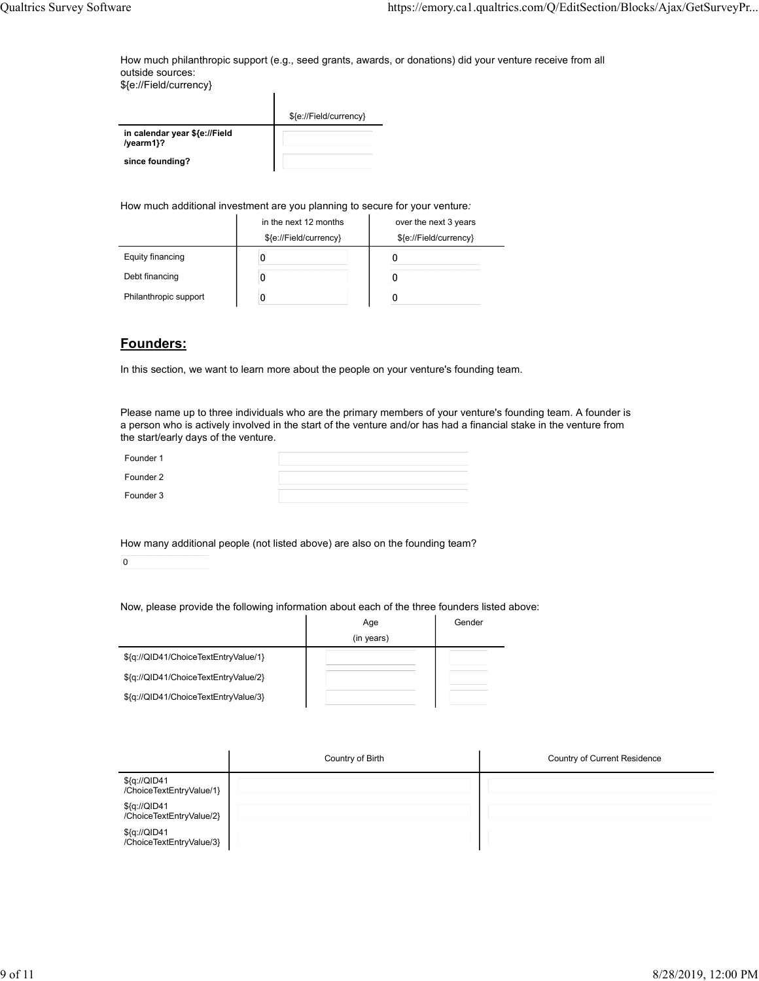How much philanthropic support (e.g., seed grants, awards, or donations) did your venture receive from all outside sources: Austrics Survey Software https://emory.ca1.qualtrics.com/Q/EditSection/Blocks/Ajax/GetSurveyPr...<br>How much philanthropic support (e.g., seed grants, awards, or donations) did your venture receive from all<br>\${e://Field/curre

|                                            | \${e://Field/currency} |
|--------------------------------------------|------------------------|
| in calendar year \${e://Field<br>/yearm1}? |                        |
| since founding?                            |                        |

#### How much additional investment are you planning to secure for your venture:

| outside sources:<br>\${e://Field/currency} |                                                                             | How much philanthropic support (e.g., seed grants, awards, or donations) did your venture receive from all |
|--------------------------------------------|-----------------------------------------------------------------------------|------------------------------------------------------------------------------------------------------------|
|                                            |                                                                             |                                                                                                            |
|                                            | \${e://Field/currency}                                                      |                                                                                                            |
| in calendar year \${e://Field<br>/yearm1}? |                                                                             |                                                                                                            |
| since founding?                            |                                                                             |                                                                                                            |
|                                            |                                                                             |                                                                                                            |
|                                            |                                                                             |                                                                                                            |
|                                            |                                                                             |                                                                                                            |
|                                            | How much additional investment are you planning to secure for your venture: |                                                                                                            |
|                                            | in the next 12 months                                                       | over the next 3 years                                                                                      |
| <b>Equity financing</b>                    | \${e://Field/currency}<br>0                                                 | \${e://Field/currency}<br>0                                                                                |
| Debt financing                             | 0                                                                           | 0                                                                                                          |

### Founders:

| Founder 1 |  |
|-----------|--|
| Founder 2 |  |
| Founder 3 |  |

| Filianunopic support<br>U                                                                      | U                 |                                                                                                                                                                                                                                     |  |
|------------------------------------------------------------------------------------------------|-------------------|-------------------------------------------------------------------------------------------------------------------------------------------------------------------------------------------------------------------------------------|--|
| Founders:                                                                                      |                   |                                                                                                                                                                                                                                     |  |
| In this section, we want to learn more about the people on your venture's founding team.       |                   |                                                                                                                                                                                                                                     |  |
| the start/early days of the venture.                                                           |                   | Please name up to three individuals who are the primary members of your venture's founding team. A founder is<br>a person who is actively involved in the start of the venture and/or has had a financial stake in the venture from |  |
| Founder 1                                                                                      |                   |                                                                                                                                                                                                                                     |  |
| Founder 2                                                                                      |                   |                                                                                                                                                                                                                                     |  |
| Founder 3                                                                                      |                   |                                                                                                                                                                                                                                     |  |
| How many additional people (not listed above) are also on the founding team?<br>$\overline{0}$ |                   |                                                                                                                                                                                                                                     |  |
| Now, please provide the following information about each of the three founders listed above:   | Age<br>(in years) | Gender                                                                                                                                                                                                                              |  |
| \${q://QID41/ChoiceTextEntryValue/1}                                                           |                   |                                                                                                                                                                                                                                     |  |
| \${q://QID41/ChoiceTextEntryValue/2}                                                           |                   |                                                                                                                                                                                                                                     |  |
| \${q://QID41/ChoiceTextEntryValue/3}                                                           |                   |                                                                                                                                                                                                                                     |  |
|                                                                                                |                   |                                                                                                                                                                                                                                     |  |

| the start/early days of the venture.     |                                                                                              |        |                              |  |
|------------------------------------------|----------------------------------------------------------------------------------------------|--------|------------------------------|--|
| Founder 1                                |                                                                                              |        |                              |  |
| Founder 2                                |                                                                                              |        |                              |  |
| Founder 3                                |                                                                                              |        |                              |  |
|                                          |                                                                                              |        |                              |  |
|                                          | How many additional people (not listed above) are also on the founding team?                 |        |                              |  |
| $\mathbf 0$                              |                                                                                              |        |                              |  |
|                                          |                                                                                              |        |                              |  |
|                                          | Now, please provide the following information about each of the three founders listed above: |        |                              |  |
|                                          | Age                                                                                          | Gender |                              |  |
|                                          | (in years)                                                                                   |        |                              |  |
| \${q://QID41/ChoiceTextEntryValue/1}     |                                                                                              |        |                              |  |
| \${q://QID41/ChoiceTextEntryValue/2}     |                                                                                              |        |                              |  |
| \${q://QID41/ChoiceTextEntryValue/3}     |                                                                                              |        |                              |  |
|                                          |                                                                                              |        |                              |  |
|                                          |                                                                                              |        |                              |  |
|                                          | Country of Birth                                                                             |        | Country of Current Residence |  |
| \${q://QID41<br>/ChoiceTextEntryValue/1} |                                                                                              |        |                              |  |
| \${q://QID41<br>/ChoiceTextEntryValue/2} |                                                                                              |        |                              |  |
| \${q://QID41<br>/ChoiceTextEntryValue/3} |                                                                                              |        |                              |  |
|                                          |                                                                                              |        |                              |  |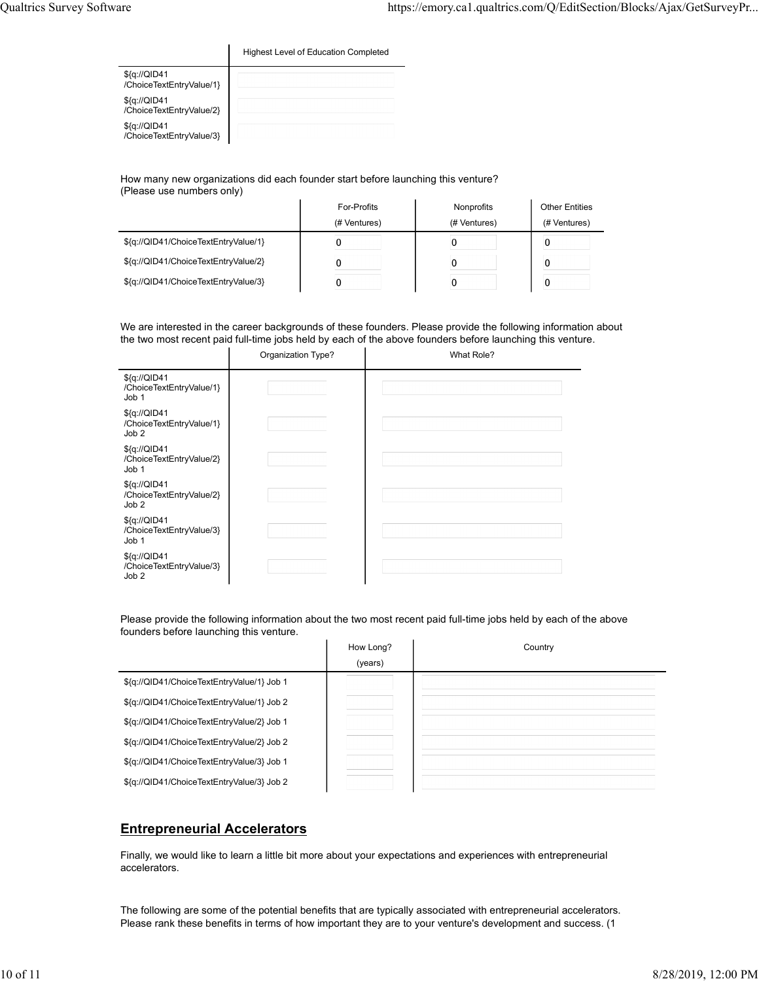| Qualtrics Survey Software |                                          |                                             |  | https://emory.ca1.qualtrics.com/Q/EditSection/Blocks/Ajax/GetSurveyPr |  |
|---------------------------|------------------------------------------|---------------------------------------------|--|-----------------------------------------------------------------------|--|
|                           |                                          | <b>Highest Level of Education Completed</b> |  |                                                                       |  |
|                           | \${q://QID41<br>/ChoiceTextEntryValue/1} |                                             |  |                                                                       |  |
|                           | \${q://QID41<br>/ChoiceTextEntryValue/2} |                                             |  |                                                                       |  |
|                           | \${q://QID41<br>/ChoiceTextEntryValue/3} |                                             |  |                                                                       |  |
|                           |                                          |                                             |  |                                                                       |  |

| are                                      |                                                                                                                 |                            | https://emory.ca1.qualtrics.com/Q/EditSection/Blocks/Ajax/GetSurveyPr |
|------------------------------------------|-----------------------------------------------------------------------------------------------------------------|----------------------------|-----------------------------------------------------------------------|
|                                          | Highest Level of Education Completed                                                                            |                            |                                                                       |
| \${q://QID41<br>/ChoiceTextEntryValue/1} |                                                                                                                 |                            |                                                                       |
| \${q://QID41<br>/ChoiceTextEntryValue/2} |                                                                                                                 |                            |                                                                       |
| \${q://QID41<br>/ChoiceTextEntryValue/3} |                                                                                                                 |                            |                                                                       |
| (Please use numbers only)                | How many new organizations did each founder start before launching this venture?<br>For-Profits<br>(# Ventures) | Nonprofits<br>(# Ventures) | <b>Other Entities</b><br>(# Ventures)                                 |
| \${q://QID41/ChoiceTextEntryValue/1}     | $\mathbf 0$                                                                                                     | $\mathbf 0$                | $\mathbf 0$                                                           |
|                                          |                                                                                                                 |                            |                                                                       |
| \${q://QID41/ChoiceTextEntryValue/2}     | 0                                                                                                               | $\mathbf 0$                | 0                                                                     |

|                                                                                                                                                             | Organization Type? |           | What Role? |         |
|-------------------------------------------------------------------------------------------------------------------------------------------------------------|--------------------|-----------|------------|---------|
| \${q://QID41<br>/ChoiceTextEntryValue/1}<br>Job 1                                                                                                           |                    |           |            |         |
| \${q://QID41<br>/ChoiceTextEntryValue/1}<br>Job 2                                                                                                           |                    |           |            |         |
| \${q://QID41<br>/ChoiceTextEntryValue/2}<br>Job 1                                                                                                           |                    |           |            |         |
| \${q://QID41<br>/ChoiceTextEntryValue/2}<br>Job 2                                                                                                           |                    |           |            |         |
| \${q://QID41<br>/ChoiceTextEntryValue/3}<br>Job 1                                                                                                           |                    |           |            |         |
| \${q://QID41<br>/ChoiceTextEntryValue/3}<br>Job <sub>2</sub>                                                                                                |                    |           |            |         |
| Please provide the following information about the two most recent paid full-time jobs held by each of the above<br>founders before launching this venture. |                    |           |            |         |
|                                                                                                                                                             |                    | How Long? |            | Country |
|                                                                                                                                                             |                    | (years)   |            |         |
| \${q://QID41/ChoiceTextEntryValue/1} Job 1                                                                                                                  |                    |           |            |         |
| \${q://QID41/ChoiceTextEntryValue/1} Job 2                                                                                                                  |                    |           |            |         |
| \${q://QID41/ChoiceTextEntryValue/2} Job 1                                                                                                                  |                    |           |            |         |

|                                            | How Long? | Country |
|--------------------------------------------|-----------|---------|
|                                            | (years)   |         |
| \${q://QID41/ChoiceTextEntryValue/1} Job 1 |           |         |
| \${q://QID41/ChoiceTextEntryValue/1} Job 2 |           |         |
| \${q://QID41/ChoiceTextEntryValue/2} Job 1 |           |         |
| \${q://QID41/ChoiceTextEntryValue/2} Job 2 |           |         |
| \${q://QID41/ChoiceTextEntryValue/3} Job 1 |           |         |
| \${q://QID41/ChoiceTextEntryValue/3} Job 2 |           |         |

### Entrepreneurial Accelerators

Finally, we would like to learn a little bit more about your expectations and experiences with entrepreneurial accelerators.

The following are some of the potential benefits that are typically associated with entrepreneurial accelerators. Please rank these benefits in terms of how important they are to your venture's development and success. (1